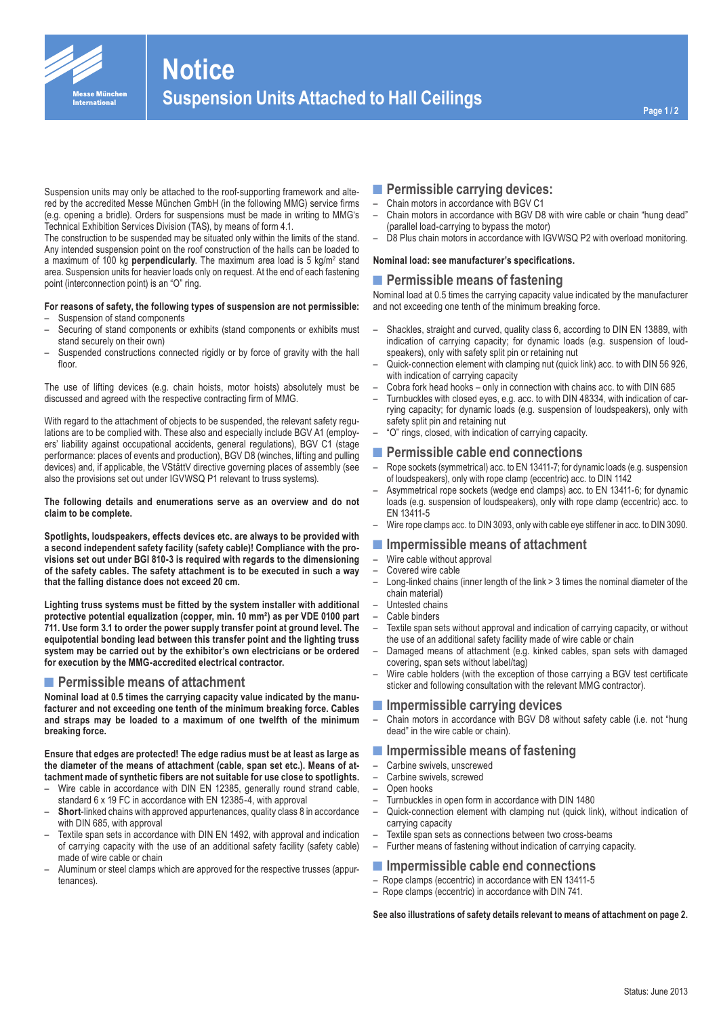

# **Notice Suspension Units Attached to Hall Ceilings**

Suspension units may only be attached to the roof-supporting framework and altered by the accredited Messe München GmbH (in the following MMG) service firms (e.g. opening a bridle). Orders for suspensions must be made in writing to MMG's Technical Exhibition Services Division (TAS), by means of form 4.1.

The construction to be suspended may be situated only within the limits of the stand. Any intended suspension point on the roof construction of the halls can be loaded to a maximum of 100 kg **perpendicularly**. The maximum area load is 5 kg/m<sup>2</sup> stand area. Suspension units for heavier loads only on request. At the end of each fastening point (interconnection point) is an "O" ring.

#### **For reasons of safety, the following types of suspension are not permissible:** – Suspension of stand components

- Securing of stand components or exhibits (stand components or exhibits must stand securely on their own)
- Suspended constructions connected rigidly or by force of gravity with the hall floor

The use of lifting devices (e.g. chain hoists, motor hoists) absolutely must be discussed and agreed with the respective contracting firm of MMG.

With regard to the attachment of objects to be suspended, the relevant safety regulations are to be complied with. These also and especially include BGV A1 (employers' liability against occupational accidents, general regulations), BGV C1 (stage performance: places of events and production), BGV D8 (winches, lifting and pulling devices) and, if applicable, the VStättV directive governing places of assembly (see also the provisions set out under IGVWSQ P1 relevant to truss systems).

#### **The following details and enumerations serve as an overview and do not claim to be complete.**

**Spotlights, loudspeakers, effects devices etc. are always to be provided with a second independent safety facility (safety cable)! Compliance with the provisions set out under BGI 810-3 is required with regards to the dimensioning of the safety cables. The safety attachment is to be executed in such a way that the falling distance does not exceed 20 cm.**

**Lighting truss systems must be fitted by the system installer with additional protective potential equalization (copper, min. 10 mm²) as per VDE 0100 part 711. Use form 3.1 to order the power supply transfer point at ground level. The equipotential bonding lead between this transfer point and the lighting truss system may be carried out by the exhibitor's own electricians or be ordered for execution by the MMG-accredited electrical contractor.** 

# ■ Permissible means of attachment

**Nominal load at 0.5 times the carrying capacity value indicated by the manufacturer and not exceeding one tenth of the minimum breaking force. Cables and straps may be loaded to a maximum of one twelfth of the minimum breaking force.** 

**Ensure that edges are protected! The edge radius must be at least as large as the diameter of the means of attachment (cable, span set etc.). Means of attachment made of synthetic fibers are not suitable for use close to spotlights.**

- Wire cable in accordance with DIN EN 12385, generally round strand cable, standard 6 x 19 FC in accordance with EN 12385-4, with approval
- **Short**-linked chains with approved appurtenances, quality class 8 in accordance with DIN 685, with approval
- Textile span sets in accordance with DIN EN 1492, with approval and indication of carrying capacity with the use of an additional safety facility (safety cable) made of wire cable or chain
- Aluminum or steel clamps which are approved for the respective trusses (appurtenances).

# **■Permissible carrying devices:**

- Chain motors in accordance with BGV C1
- Chain motors in accordance with BGV D8 with wire cable or chain "hung dead" (parallel load-carrying to bypass the motor)
- D8 Plus chain motors in accordance with IGVWSQ P2 with overload monitoring.

#### **Nominal load: see manufacturer's specifications.**

### ■ Permissible means of fastening

Nominal load at 0.5 times the carrying capacity value indicated by the manufacturer and not exceeding one tenth of the minimum breaking force.

- Shackles, straight and curved, quality class 6, according to DIN EN 13889, with indication of carrying capacity; for dynamic loads (e.g. suspension of loudspeakers), only with safety split pin or retaining nut
- Quick-connection element with clamping nut (quick link) acc. to with DIN 56 926, with indication of carrying capacity
- Cobra fork head hooks only in connection with chains acc. to with DIN 685
- Turnbuckles with closed eyes, e.g. acc. to with DIN 48334, with indication of carrying capacity; for dynamic loads (e.g. suspension of loudspeakers), only with safety split pin and retaining nut
- "O" rings, closed, with indication of carrying capacity.

# **■Permissible cable end connections**

- Rope sockets (symmetrical) acc. to EN 13411-7; for dynamic loads (e.g. suspension of loudspeakers), only with rope clamp (eccentric) acc. to DIN 1142
- Asymmetrical rope sockets (wedge end clamps) acc. to EN 13411-6; for dynamic loads (e.g. suspension of loudspeakers), only with rope clamp (eccentric) acc. to EN 13411-5
- Wire rope clamps acc. to DIN 3093, only with cable eye stiffener in acc. to DIN 3090.

#### **■Impermissible means of attachment**

- Wire cable without approval
- Covered wire cable
- Long-linked chains (inner length of the link > 3 times the nominal diameter of the chain material)
- Untested chains
- Cable binders
- Textile span sets without approval and indication of carrying capacity, or without the use of an additional safety facility made of wire cable or chain
- Damaged means of attachment (e.g. kinked cables, span sets with damaged covering, span sets without label/tag)
- Wire cable holders (with the exception of those carrying a BGV test certificate sticker and following consultation with the relevant MMG contractor).

## **■Impermissible carrying devices**

– Chain motors in accordance with BGV D8 without safety cable (i.e. not "hung dead" in the wire cable or chain).

# **■Impermissible means of fastening**

- Carbine swivels, unscrewed
- Carbine swivels, screwed
- Open hooks
- Turnbuckles in open form in accordance with DIN 1480
- Quick-connection element with clamping nut (quick link), without indication of carrying capacity
- Textile span sets as connections between two cross-beams
- Further means of fastening without indication of carrying capacity.

# **■Impermissible cable end connections**

- Rope clamps (eccentric) in accordance with EN 13411-5
- Rope clamps (eccentric) in accordance with DIN 741.

**See also illustrations of safety details relevant to means of attachment on page 2.**